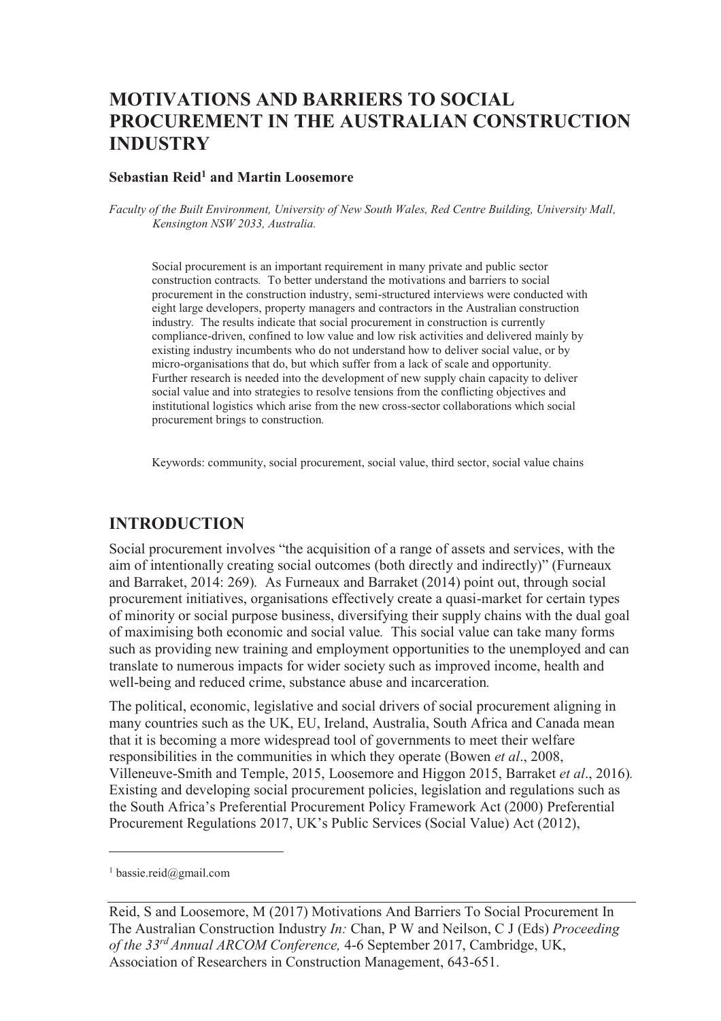# **MOTIVATIONS AND BARRIERS TO SOCIAL PROCUREMENT IN THE AUSTRALIAN CONSTRUCTION INDUSTRY**

#### **Sebastian Reid<sup>1</sup> and Martin Loosemore**

*Faculty of the Built Environment, University of New South Wales, Red Centre Building, University Mall, Kensington NSW 2033, Australia.* 

Social procurement is an important requirement in many private and public sector construction contracts*.* To better understand the motivations and barriers to social procurement in the construction industry, semi-structured interviews were conducted with eight large developers, property managers and contractors in the Australian construction industry*.* The results indicate that social procurement in construction is currently compliance-driven, confined to low value and low risk activities and delivered mainly by existing industry incumbents who do not understand how to deliver social value, or by micro-organisations that do, but which suffer from a lack of scale and opportunity*.*  Further research is needed into the development of new supply chain capacity to deliver social value and into strategies to resolve tensions from the conflicting objectives and institutional logistics which arise from the new cross-sector collaborations which social procurement brings to construction*.*

Keywords: community, social procurement, social value, third sector, social value chains

### **INTRODUCTION**

Social procurement involves "the acquisition of a range of assets and services, with the aim of intentionally creating social outcomes (both directly and indirectly)" (Furneaux and Barraket, 2014: 269)*.* As Furneaux and Barraket (2014) point out, through social procurement initiatives, organisations effectively create a quasi-market for certain types of minority or social purpose business, diversifying their supply chains with the dual goal of maximising both economic and social value*.* This social value can take many forms such as providing new training and employment opportunities to the unemployed and can translate to numerous impacts for wider society such as improved income, health and well-being and reduced crime, substance abuse and incarceration*.*

The political, economic, legislative and social drivers of social procurement aligning in many countries such as the UK, EU, Ireland, Australia, South Africa and Canada mean that it is becoming a more widespread tool of governments to meet their welfare responsibilities in the communities in which they operate (Bowen *et al*., 2008, Villeneuve-Smith and Temple, 2015, Loosemore and Higgon 2015, Barraket *et al*., 2016)*.*  Existing and developing social procurement policies, legislation and regulations such as the South Africa's Preferential Procurement Policy Framework Act (2000) Preferential Procurement Regulations 2017, UK's Public Services (Social Value) Act (2012),

-

<sup>1</sup> bassie.reid@gmail.com

Reid, S and Loosemore, M (2017) Motivations And Barriers To Social Procurement In The Australian Construction Industry *In:* Chan, P W and Neilson, C J (Eds) *Proceeding of the 33rd Annual ARCOM Conference,* 4-6 September 2017, Cambridge, UK, Association of Researchers in Construction Management, 643-651.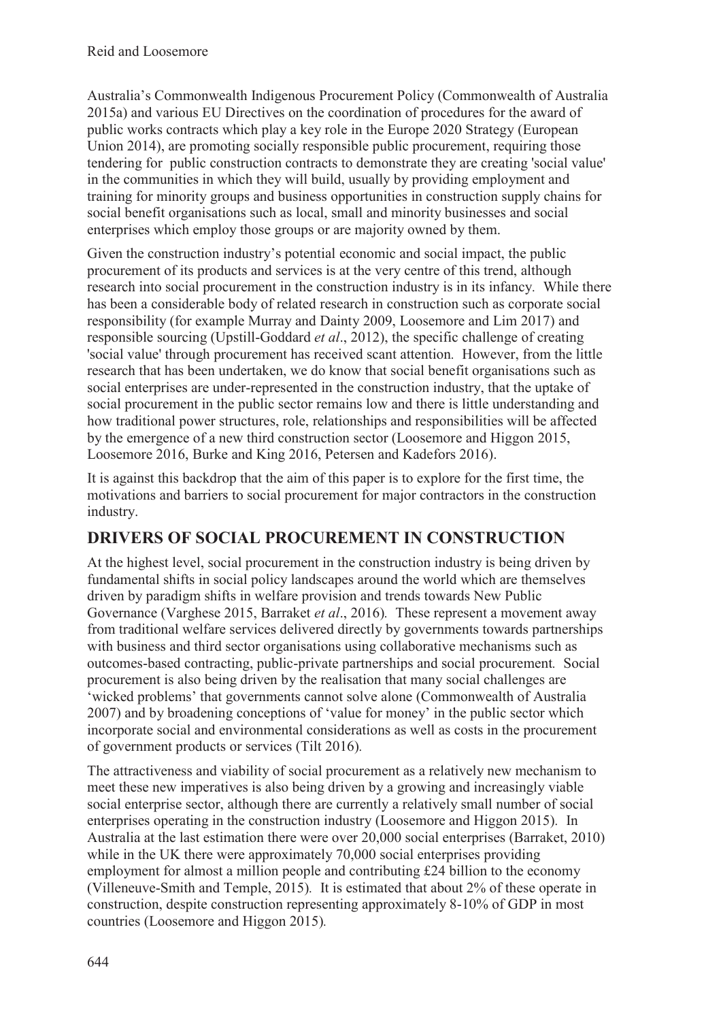Australia's Commonwealth Indigenous Procurement Policy (Commonwealth of Australia 2015a) and various EU Directives on the coordination of procedures for the award of public works contracts which play a key role in the Europe 2020 Strategy (European Union 2014), are promoting socially responsible public procurement, requiring those tendering for public construction contracts to demonstrate they are creating 'social value' in the communities in which they will build, usually by providing employment and training for minority groups and business opportunities in construction supply chains for social benefit organisations such as local, small and minority businesses and social enterprises which employ those groups or are majority owned by them.

Given the construction industry's potential economic and social impact, the public procurement of its products and services is at the very centre of this trend, although research into social procurement in the construction industry is in its infancy*.* While there has been a considerable body of related research in construction such as corporate social responsibility (for example Murray and Dainty 2009, Loosemore and Lim 2017) and responsible sourcing (Upstill-Goddard *et al*., 2012), the specific challenge of creating 'social value' through procurement has received scant attention*.* However, from the little research that has been undertaken, we do know that social benefit organisations such as social enterprises are under-represented in the construction industry, that the uptake of social procurement in the public sector remains low and there is little understanding and how traditional power structures, role, relationships and responsibilities will be affected by the emergence of a new third construction sector (Loosemore and Higgon 2015, Loosemore 2016, Burke and King 2016, Petersen and Kadefors 2016).

It is against this backdrop that the aim of this paper is to explore for the first time, the motivations and barriers to social procurement for major contractors in the construction industry.

### **DRIVERS OF SOCIAL PROCUREMENT IN CONSTRUCTION**

At the highest level, social procurement in the construction industry is being driven by fundamental shifts in social policy landscapes around the world which are themselves driven by paradigm shifts in welfare provision and trends towards New Public Governance (Varghese 2015, Barraket *et al*., 2016)*.* These represent a movement away from traditional welfare services delivered directly by governments towards partnerships with business and third sector organisations using collaborative mechanisms such as outcomes-based contracting, public-private partnerships and social procurement*.* Social procurement is also being driven by the realisation that many social challenges are 'wicked problems' that governments cannot solve alone (Commonwealth of Australia 2007) and by broadening conceptions of 'value for money' in the public sector which incorporate social and environmental considerations as well as costs in the procurement of government products or services (Tilt 2016)*.* 

The attractiveness and viability of social procurement as a relatively new mechanism to meet these new imperatives is also being driven by a growing and increasingly viable social enterprise sector, although there are currently a relatively small number of social enterprises operating in the construction industry (Loosemore and Higgon 2015)*.* In Australia at the last estimation there were over 20,000 social enterprises (Barraket, 2010) while in the UK there were approximately 70,000 social enterprises providing employment for almost a million people and contributing £24 billion to the economy (Villeneuve-Smith and Temple, 2015)*.* It is estimated that about 2% of these operate in construction, despite construction representing approximately 8-10% of GDP in most countries (Loosemore and Higgon 2015)*.*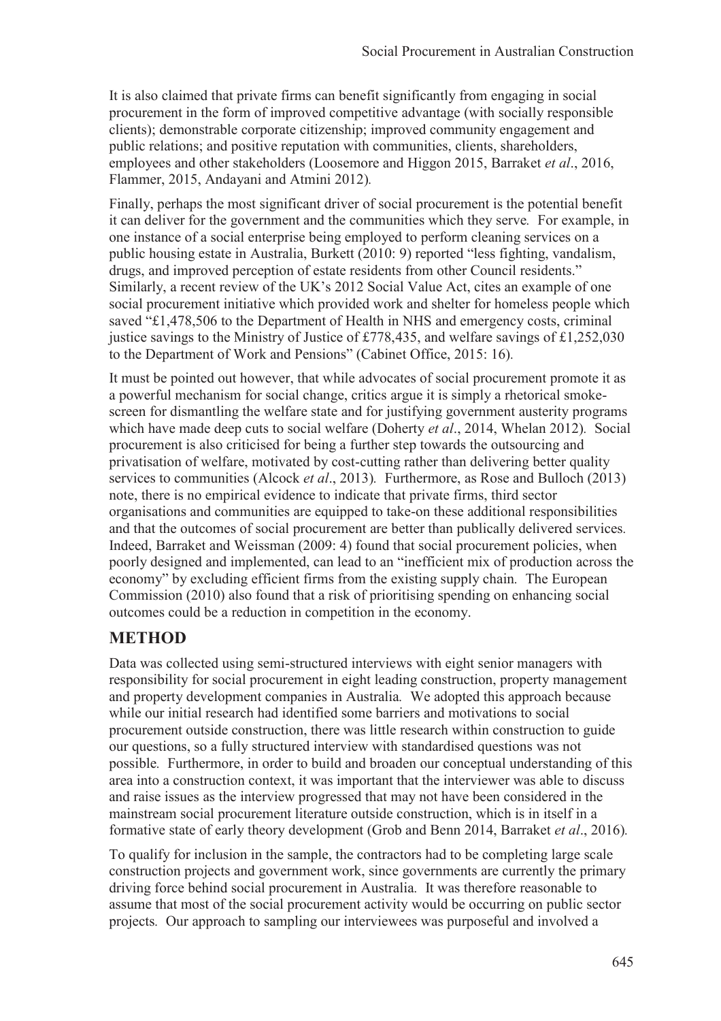It is also claimed that private firms can benefit significantly from engaging in social procurement in the form of improved competitive advantage (with socially responsible clients); demonstrable corporate citizenship; improved community engagement and public relations; and positive reputation with communities, clients, shareholders, employees and other stakeholders (Loosemore and Higgon 2015, Barraket *et al*., 2016, Flammer, 2015, Andayani and Atmini 2012)*.* 

Finally, perhaps the most significant driver of social procurement is the potential benefit it can deliver for the government and the communities which they serve*.* For example, in one instance of a social enterprise being employed to perform cleaning services on a public housing estate in Australia, Burkett (2010: 9) reported "less fighting, vandalism, drugs, and improved perception of estate residents from other Council residents." Similarly, a recent review of the UK's 2012 Social Value Act, cites an example of one social procurement initiative which provided work and shelter for homeless people which saved "£1,478,506 to the Department of Health in NHS and emergency costs, criminal justice savings to the Ministry of Justice of £778,435, and welfare savings of £1,252,030 to the Department of Work and Pensions" (Cabinet Office, 2015: 16)*.* 

It must be pointed out however, that while advocates of social procurement promote it as a powerful mechanism for social change, critics argue it is simply a rhetorical smokescreen for dismantling the welfare state and for justifying government austerity programs which have made deep cuts to social welfare (Doherty *et al*., 2014, Whelan 2012)*.* Social procurement is also criticised for being a further step towards the outsourcing and privatisation of welfare, motivated by cost-cutting rather than delivering better quality services to communities (Alcock *et al*., 2013)*.* Furthermore, as Rose and Bulloch (2013) note, there is no empirical evidence to indicate that private firms, third sector organisations and communities are equipped to take-on these additional responsibilities and that the outcomes of social procurement are better than publically delivered services*.*  Indeed, Barraket and Weissman (2009: 4) found that social procurement policies, when poorly designed and implemented, can lead to an "inefficient mix of production across the economy" by excluding efficient firms from the existing supply chain*.* The European Commission (2010) also found that a risk of prioritising spending on enhancing social outcomes could be a reduction in competition in the economy.

# **METHOD**

Data was collected using semi-structured interviews with eight senior managers with responsibility for social procurement in eight leading construction, property management and property development companies in Australia*.* We adopted this approach because while our initial research had identified some barriers and motivations to social procurement outside construction, there was little research within construction to guide our questions, so a fully structured interview with standardised questions was not possible*.* Furthermore, in order to build and broaden our conceptual understanding of this area into a construction context, it was important that the interviewer was able to discuss and raise issues as the interview progressed that may not have been considered in the mainstream social procurement literature outside construction, which is in itself in a formative state of early theory development (Grob and Benn 2014, Barraket *et al*., 2016)*.* 

To qualify for inclusion in the sample, the contractors had to be completing large scale construction projects and government work, since governments are currently the primary driving force behind social procurement in Australia*.* It was therefore reasonable to assume that most of the social procurement activity would be occurring on public sector projects*.* Our approach to sampling our interviewees was purposeful and involved a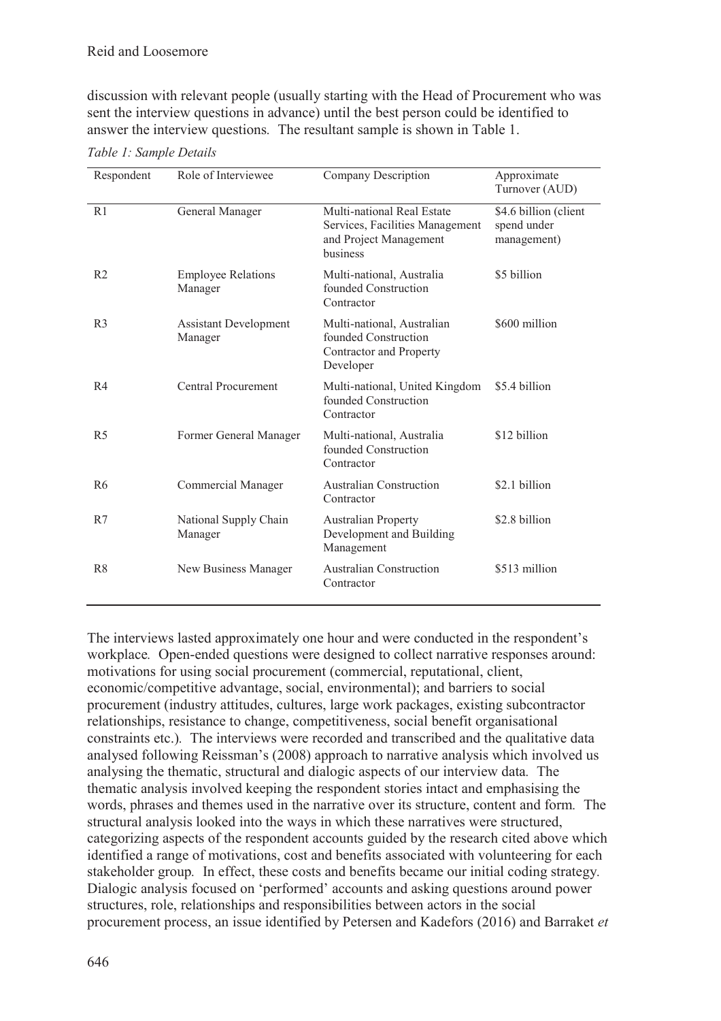discussion with relevant people (usually starting with the Head of Procurement who was sent the interview questions in advance) until the best person could be identified to answer the interview questions*.* The resultant sample is shown in Table 1.

| Respondent     | Role of Interviewee                     | <b>Company Description</b>                                                                          | Approximate<br>Turnover (AUD)                       |
|----------------|-----------------------------------------|-----------------------------------------------------------------------------------------------------|-----------------------------------------------------|
| R1             | General Manager                         | Multi-national Real Estate<br>Services, Facilities Management<br>and Project Management<br>business | \$4.6 billion (client<br>spend under<br>management) |
| R <sub>2</sub> | <b>Employee Relations</b><br>Manager    | Multi-national, Australia<br>founded Construction<br>Contractor                                     | \$5 billion                                         |
| R <sub>3</sub> | <b>Assistant Development</b><br>Manager | Multi-national, Australian<br>founded Construction<br>Contractor and Property<br>Developer          | \$600 million                                       |
| R4             | Central Procurement                     | Multi-national, United Kingdom<br>founded Construction<br>Contractor                                | \$5.4 billion                                       |
| R5             | Former General Manager                  | Multi-national, Australia<br>founded Construction<br>Contractor                                     | \$12 billion                                        |
| R <sub>6</sub> | Commercial Manager                      | <b>Australian Construction</b><br>Contractor                                                        | \$2.1 billion                                       |
| R7             | National Supply Chain<br>Manager        | <b>Australian Property</b><br>Development and Building<br>Management                                | \$2.8 billion                                       |
| R <sub>8</sub> | New Business Manager                    | <b>Australian Construction</b><br>Contractor                                                        | \$513 million                                       |

*Table 1: Sample Details* 

The interviews lasted approximately one hour and were conducted in the respondent's workplace*.* Open-ended questions were designed to collect narrative responses around: motivations for using social procurement (commercial, reputational, client, economic/competitive advantage, social, environmental); and barriers to social procurement (industry attitudes, cultures, large work packages, existing subcontractor relationships, resistance to change, competitiveness, social benefit organisational constraints etc.)*.* The interviews were recorded and transcribed and the qualitative data analysed following Reissman's (2008) approach to narrative analysis which involved us analysing the thematic, structural and dialogic aspects of our interview data*.* The thematic analysis involved keeping the respondent stories intact and emphasising the words, phrases and themes used in the narrative over its structure, content and form*.* The structural analysis looked into the ways in which these narratives were structured, categorizing aspects of the respondent accounts guided by the research cited above which identified a range of motivations, cost and benefits associated with volunteering for each stakeholder group*.* In effect, these costs and benefits became our initial coding strategy*.*  Dialogic analysis focused on 'performed' accounts and asking questions around power structures, role, relationships and responsibilities between actors in the social procurement process, an issue identified by Petersen and Kadefors (2016) and Barraket *et*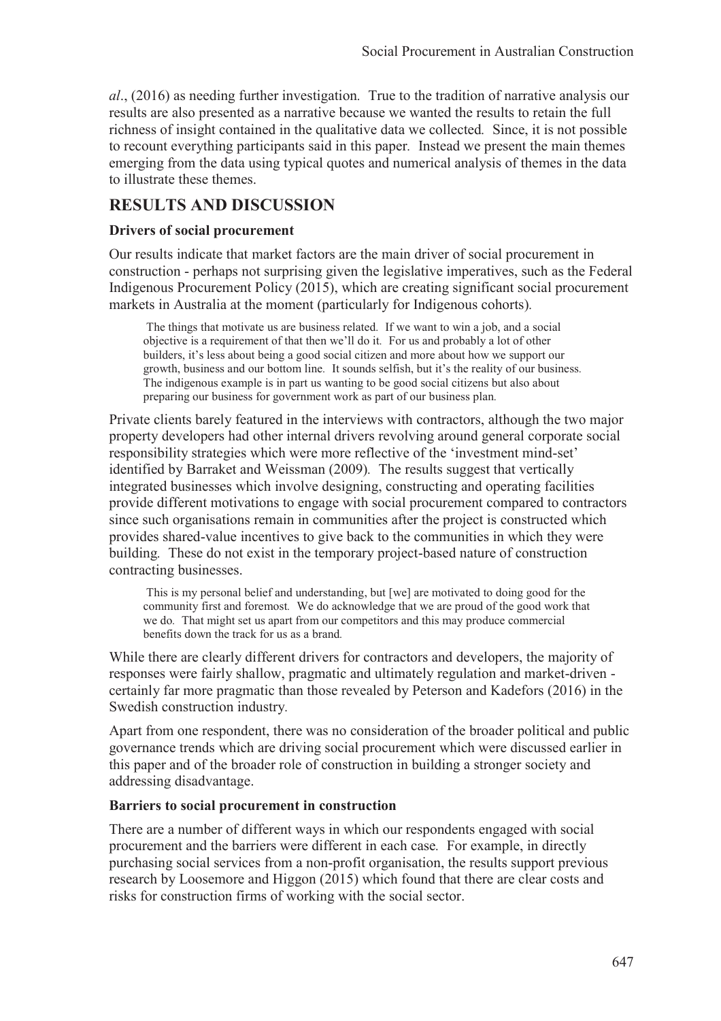*al*., (2016) as needing further investigation*.* True to the tradition of narrative analysis our results are also presented as a narrative because we wanted the results to retain the full richness of insight contained in the qualitative data we collected*.* Since, it is not possible to recount everything participants said in this paper*.* Instead we present the main themes emerging from the data using typical quotes and numerical analysis of themes in the data to illustrate these themes.

## **RESULTS AND DISCUSSION**

#### **Drivers of social procurement**

Our results indicate that market factors are the main driver of social procurement in construction - perhaps not surprising given the legislative imperatives, such as the Federal Indigenous Procurement Policy (2015), which are creating significant social procurement markets in Australia at the moment (particularly for Indigenous cohorts)*.* 

 The things that motivate us are business related*.* If we want to win a job, and a social objective is a requirement of that then we'll do it*.* For us and probably a lot of other builders, it's less about being a good social citizen and more about how we support our growth, business and our bottom line*.* It sounds selfish, but it's the reality of our business*.*  The indigenous example is in part us wanting to be good social citizens but also about preparing our business for government work as part of our business plan*.* 

Private clients barely featured in the interviews with contractors, although the two major property developers had other internal drivers revolving around general corporate social responsibility strategies which were more reflective of the 'investment mind-set' identified by Barraket and Weissman (2009)*.* The results suggest that vertically integrated businesses which involve designing, constructing and operating facilities provide different motivations to engage with social procurement compared to contractors since such organisations remain in communities after the project is constructed which provides shared-value incentives to give back to the communities in which they were building*.* These do not exist in the temporary project-based nature of construction contracting businesses.

 This is my personal belief and understanding, but [we] are motivated to doing good for the community first and foremost*.* We do acknowledge that we are proud of the good work that we do*.* That might set us apart from our competitors and this may produce commercial benefits down the track for us as a brand*.* 

While there are clearly different drivers for contractors and developers, the majority of responses were fairly shallow, pragmatic and ultimately regulation and market-driven certainly far more pragmatic than those revealed by Peterson and Kadefors (2016) in the Swedish construction industry*.* 

Apart from one respondent, there was no consideration of the broader political and public governance trends which are driving social procurement which were discussed earlier in this paper and of the broader role of construction in building a stronger society and addressing disadvantage.

#### **Barriers to social procurement in construction**

There are a number of different ways in which our respondents engaged with social procurement and the barriers were different in each case*.* For example, in directly purchasing social services from a non-profit organisation, the results support previous research by Loosemore and Higgon (2015) which found that there are clear costs and risks for construction firms of working with the social sector.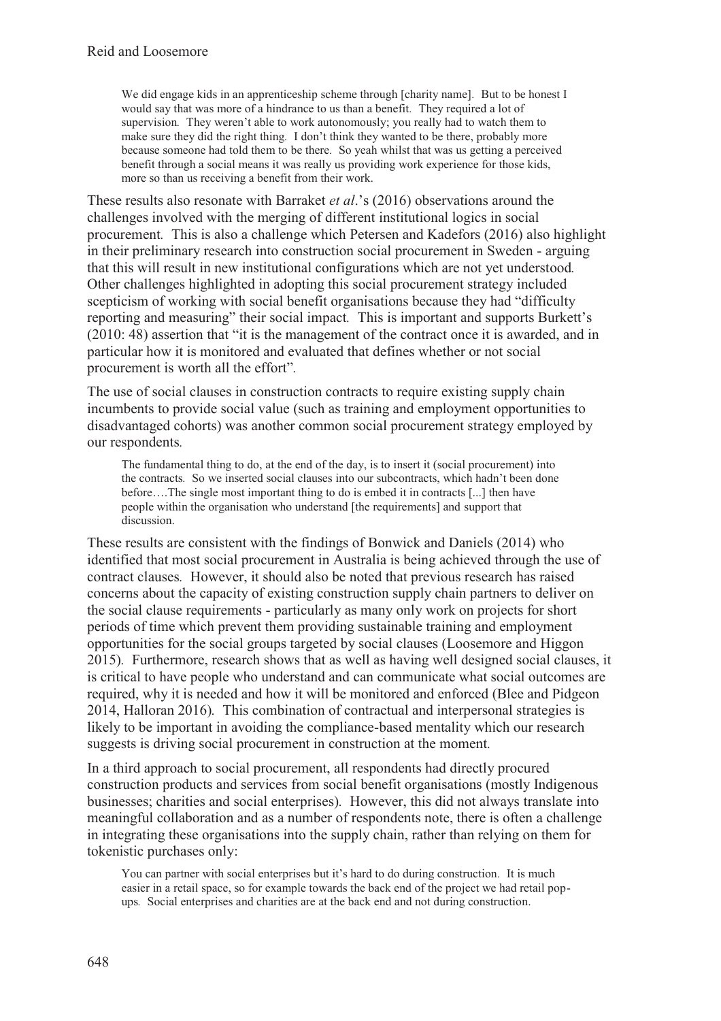We did engage kids in an apprenticeship scheme through [charity name]*.* But to be honest I would say that was more of a hindrance to us than a benefit*.* They required a lot of supervision*.* They weren't able to work autonomously; you really had to watch them to make sure they did the right thing*.* I don't think they wanted to be there, probably more because someone had told them to be there*.* So yeah whilst that was us getting a perceived benefit through a social means it was really us providing work experience for those kids, more so than us receiving a benefit from their work.

These results also resonate with Barraket *et al*.'s (2016) observations around the challenges involved with the merging of different institutional logics in social procurement*.* This is also a challenge which Petersen and Kadefors (2016) also highlight in their preliminary research into construction social procurement in Sweden - arguing that this will result in new institutional configurations which are not yet understood*.*  Other challenges highlighted in adopting this social procurement strategy included scepticism of working with social benefit organisations because they had "difficulty reporting and measuring" their social impact*.* This is important and supports Burkett's (2010: 48) assertion that "it is the management of the contract once it is awarded, and in particular how it is monitored and evaluated that defines whether or not social procurement is worth all the effort"*.* 

The use of social clauses in construction contracts to require existing supply chain incumbents to provide social value (such as training and employment opportunities to disadvantaged cohorts) was another common social procurement strategy employed by our respondents*.* 

The fundamental thing to do, at the end of the day, is to insert it (social procurement) into the contracts*.* So we inserted social clauses into our subcontracts, which hadn't been done before….The single most important thing to do is embed it in contracts [...] then have people within the organisation who understand [the requirements] and support that discussion.

These results are consistent with the findings of Bonwick and Daniels (2014) who identified that most social procurement in Australia is being achieved through the use of contract clauses*.* However, it should also be noted that previous research has raised concerns about the capacity of existing construction supply chain partners to deliver on the social clause requirements - particularly as many only work on projects for short periods of time which prevent them providing sustainable training and employment opportunities for the social groups targeted by social clauses (Loosemore and Higgon 2015)*.* Furthermore, research shows that as well as having well designed social clauses, it is critical to have people who understand and can communicate what social outcomes are required, why it is needed and how it will be monitored and enforced (Blee and Pidgeon 2014, Halloran 2016)*.* This combination of contractual and interpersonal strategies is likely to be important in avoiding the compliance-based mentality which our research suggests is driving social procurement in construction at the moment*.* 

In a third approach to social procurement, all respondents had directly procured construction products and services from social benefit organisations (mostly Indigenous businesses; charities and social enterprises)*.* However, this did not always translate into meaningful collaboration and as a number of respondents note, there is often a challenge in integrating these organisations into the supply chain, rather than relying on them for tokenistic purchases only:

You can partner with social enterprises but it's hard to do during construction*.* It is much easier in a retail space, so for example towards the back end of the project we had retail popups*.* Social enterprises and charities are at the back end and not during construction.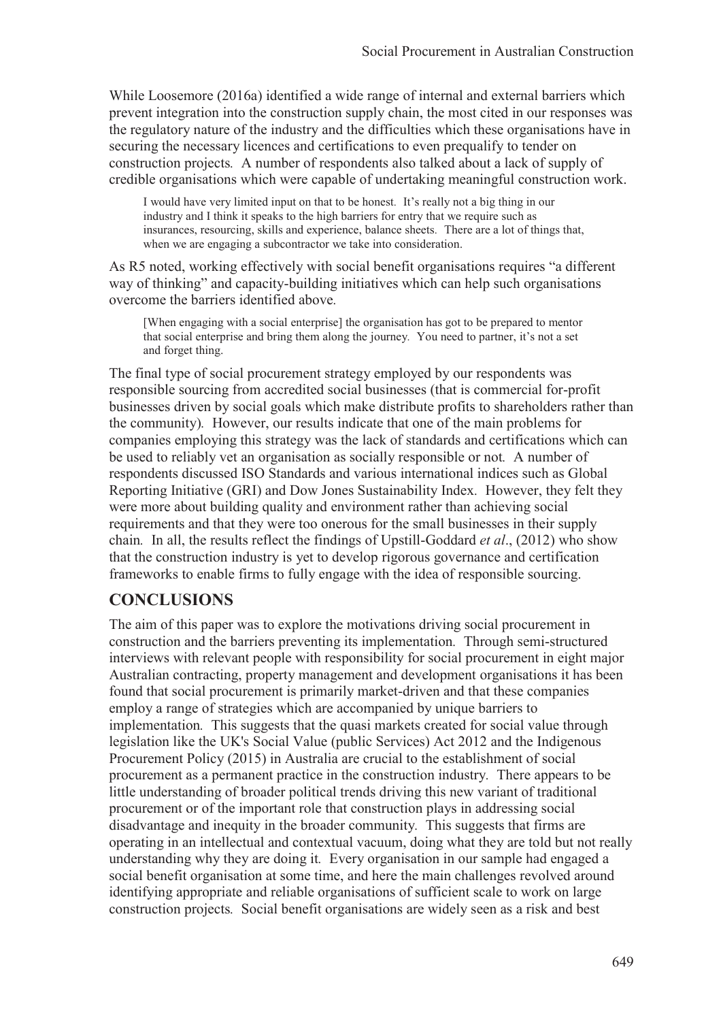While Loosemore (2016a) identified a wide range of internal and external barriers which prevent integration into the construction supply chain, the most cited in our responses was the regulatory nature of the industry and the difficulties which these organisations have in securing the necessary licences and certifications to even prequalify to tender on construction projects*.* A number of respondents also talked about a lack of supply of credible organisations which were capable of undertaking meaningful construction work.

I would have very limited input on that to be honest*.* It's really not a big thing in our industry and I think it speaks to the high barriers for entry that we require such as insurances, resourcing, skills and experience, balance sheets*.* There are a lot of things that, when we are engaging a subcontractor we take into consideration.

As R5 noted, working effectively with social benefit organisations requires "a different way of thinking" and capacity-building initiatives which can help such organisations overcome the barriers identified above*.* 

[When engaging with a social enterprise] the organisation has got to be prepared to mentor that social enterprise and bring them along the journey*.* You need to partner, it's not a set and forget thing.

The final type of social procurement strategy employed by our respondents was responsible sourcing from accredited social businesses (that is commercial for-profit businesses driven by social goals which make distribute profits to shareholders rather than the community)*.* However, our results indicate that one of the main problems for companies employing this strategy was the lack of standards and certifications which can be used to reliably vet an organisation as socially responsible or not*.* A number of respondents discussed ISO Standards and various international indices such as Global Reporting Initiative (GRI) and Dow Jones Sustainability Index*.* However, they felt they were more about building quality and environment rather than achieving social requirements and that they were too onerous for the small businesses in their supply chain*.* In all, the results reflect the findings of Upstill-Goddard *et al*., (2012) who show that the construction industry is yet to develop rigorous governance and certification frameworks to enable firms to fully engage with the idea of responsible sourcing.

# **CONCLUSIONS**

The aim of this paper was to explore the motivations driving social procurement in construction and the barriers preventing its implementation*.* Through semi-structured interviews with relevant people with responsibility for social procurement in eight major Australian contracting, property management and development organisations it has been found that social procurement is primarily market-driven and that these companies employ a range of strategies which are accompanied by unique barriers to implementation*.* This suggests that the quasi markets created for social value through legislation like the UK's Social Value (public Services) Act 2012 and the Indigenous Procurement Policy (2015) in Australia are crucial to the establishment of social procurement as a permanent practice in the construction industry*.* There appears to be little understanding of broader political trends driving this new variant of traditional procurement or of the important role that construction plays in addressing social disadvantage and inequity in the broader community*.* This suggests that firms are operating in an intellectual and contextual vacuum, doing what they are told but not really understanding why they are doing it*.* Every organisation in our sample had engaged a social benefit organisation at some time, and here the main challenges revolved around identifying appropriate and reliable organisations of sufficient scale to work on large construction projects*.* Social benefit organisations are widely seen as a risk and best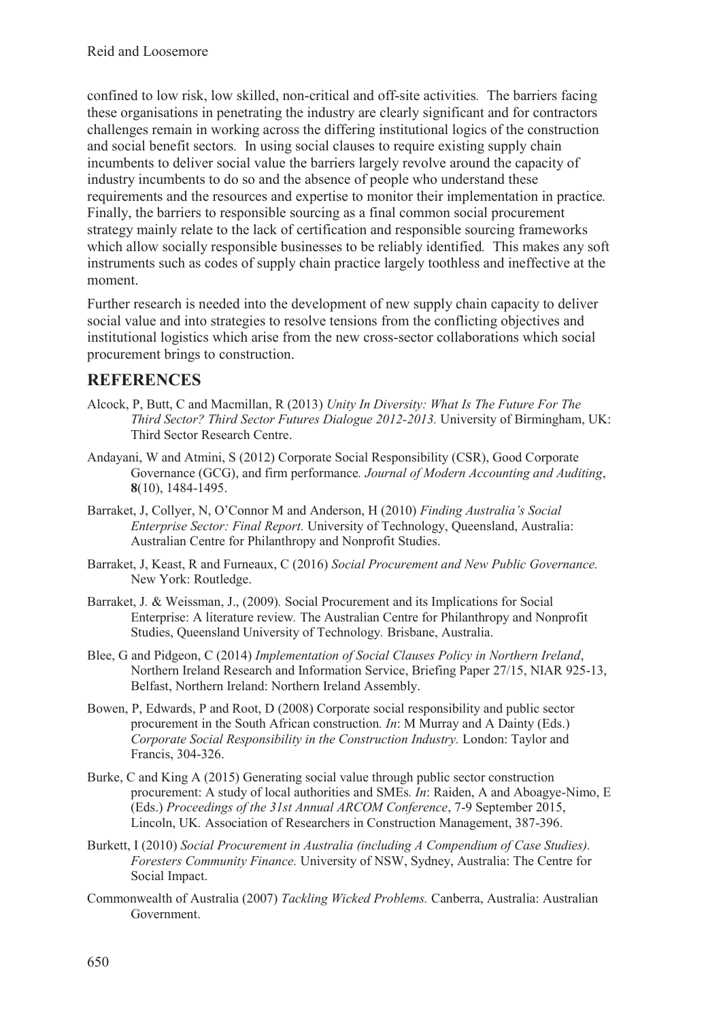confined to low risk, low skilled, non-critical and off-site activities*.* The barriers facing these organisations in penetrating the industry are clearly significant and for contractors challenges remain in working across the differing institutional logics of the construction and social benefit sectors*.* In using social clauses to require existing supply chain incumbents to deliver social value the barriers largely revolve around the capacity of industry incumbents to do so and the absence of people who understand these requirements and the resources and expertise to monitor their implementation in practice*.*  Finally, the barriers to responsible sourcing as a final common social procurement strategy mainly relate to the lack of certification and responsible sourcing frameworks which allow socially responsible businesses to be reliably identified*.* This makes any soft instruments such as codes of supply chain practice largely toothless and ineffective at the moment.

Further research is needed into the development of new supply chain capacity to deliver social value and into strategies to resolve tensions from the conflicting objectives and institutional logistics which arise from the new cross-sector collaborations which social procurement brings to construction.

### **REFERENCES**

- Alcock, P, Butt, C and Macmillan, R (2013) *Unity In Diversity: What Is The Future For The Third Sector? Third Sector Futures Dialogue 2012-2013.* University of Birmingham, UK: Third Sector Research Centre.
- Andayani, W and Atmini, S (2012) Corporate Social Responsibility (CSR), Good Corporate Governance (GCG), and firm performance*. Journal of Modern Accounting and Auditing*, **8**(10), 1484-1495.
- Barraket, J, Collyer, N, O'Connor M and Anderson, H (2010) *Finding Australia's Social Enterprise Sector: Final Report.* University of Technology, Queensland, Australia: Australian Centre for Philanthropy and Nonprofit Studies.
- Barraket, J, Keast, R and Furneaux, C (2016) *Social Procurement and New Public Governance.*  New York: Routledge.
- Barraket, J*.* & Weissman, J., (2009)*.* Social Procurement and its Implications for Social Enterprise: A literature review*.* The Australian Centre for Philanthropy and Nonprofit Studies, Queensland University of Technology*.* Brisbane, Australia.
- Blee, G and Pidgeon, C (2014) *Implementation of Social Clauses Policy in Northern Ireland*, Northern Ireland Research and Information Service, Briefing Paper 27/15, NIAR 925-13, Belfast, Northern Ireland: Northern Ireland Assembly.
- Bowen, P, Edwards, P and Root, D (2008) Corporate social responsibility and public sector procurement in the South African construction*. In*: M Murray and A Dainty (Eds.) *Corporate Social Responsibility in the Construction Industry.* London: Taylor and Francis, 304-326.
- Burke, C and King A (2015) Generating social value through public sector construction procurement: A study of local authorities and SMEs*. In*: Raiden, A and Aboagye-Nimo, E (Eds.) *Proceedings of the 31st Annual ARCOM Conference*, 7-9 September 2015, Lincoln, UK*.* Association of Researchers in Construction Management, 387-396.
- Burkett, I (2010) *Social Procurement in Australia (including A Compendium of Case Studies). Foresters Community Finance.* University of NSW, Sydney, Australia: The Centre for Social Impact.
- Commonwealth of Australia (2007) *Tackling Wicked Problems.* Canberra, Australia: Australian Government.